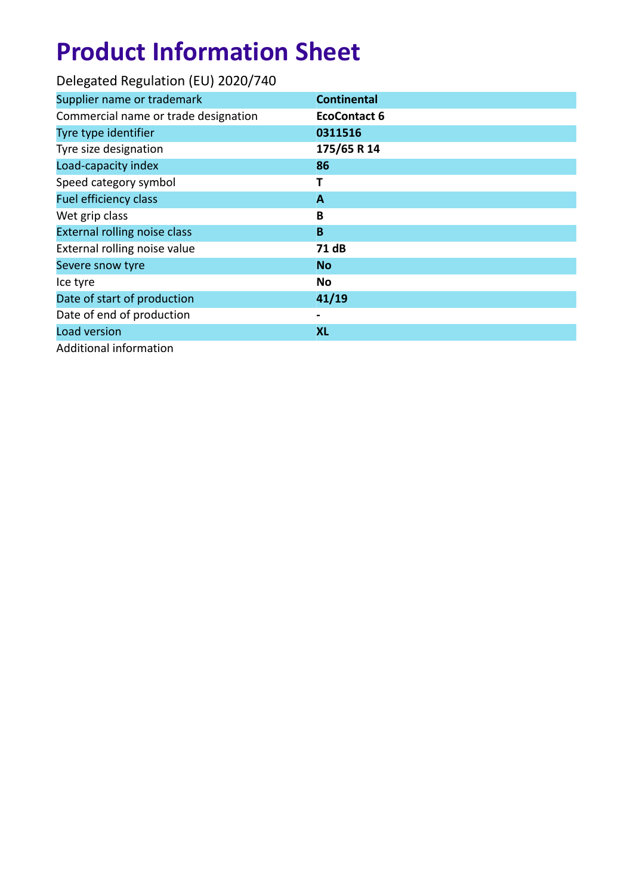| Delegated Regulation (EU) 2020/740   |                     |
|--------------------------------------|---------------------|
| Supplier name or trademark           | <b>Continental</b>  |
| Commercial name or trade designation | <b>EcoContact 6</b> |
| Tyre type identifier                 | 0311516             |
| Tyre size designation                | 175/65 R 14         |
| Load-capacity index                  | 86                  |
| Speed category symbol                | т                   |
| Fuel efficiency class                | A                   |
| Wet grip class                       | B                   |
| External rolling noise class         | B                   |
| External rolling noise value         | 71 dB               |
| Severe snow tyre                     | <b>No</b>           |
| Ice tyre                             | No                  |
| Date of start of production          | 41/19               |
| Date of end of production            |                     |
| Load version                         | <b>XL</b>           |
| Additional information               |                     |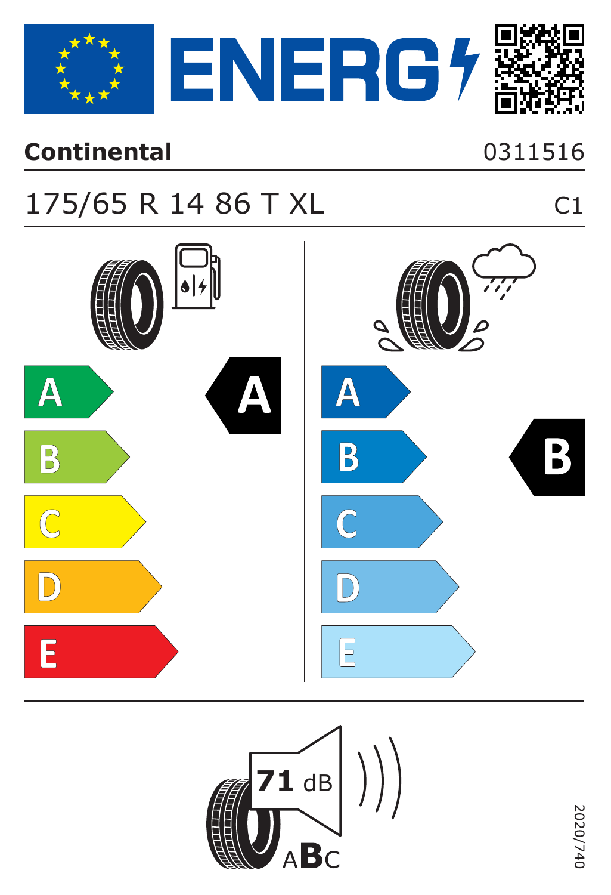

#### **Continental**

#### 0311516

 $C1$ 

### 175/65 R 14 86 T XL



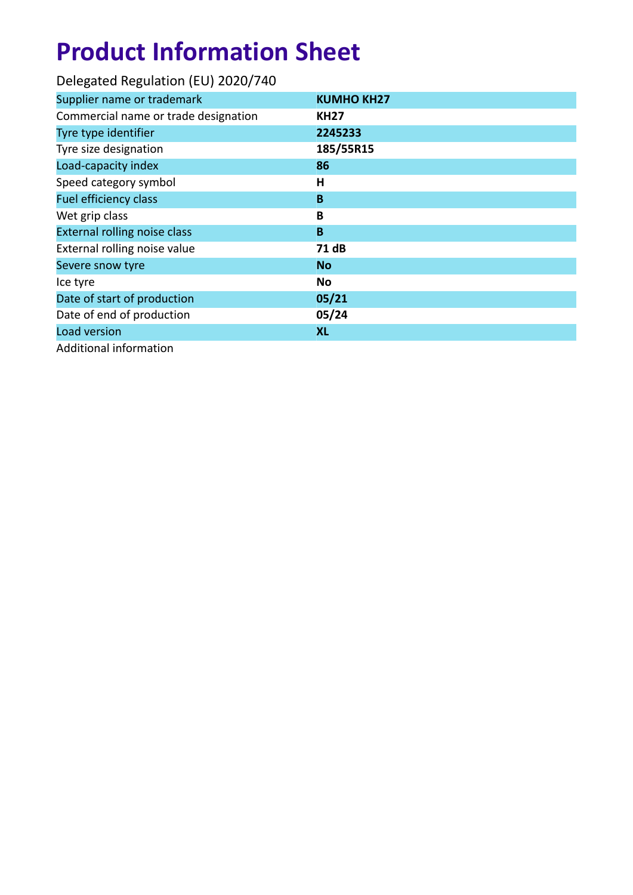| Delegated Regulation (EU) 2020/740   |                   |
|--------------------------------------|-------------------|
| Supplier name or trademark           | <b>KUMHO KH27</b> |
| Commercial name or trade designation | <b>KH27</b>       |
| Tyre type identifier                 | 2245233           |
| Tyre size designation                | 185/55R15         |
| Load-capacity index                  | 86                |
| Speed category symbol                | н                 |
| <b>Fuel efficiency class</b>         | B                 |
| Wet grip class                       | B                 |
| External rolling noise class         | B                 |
| External rolling noise value         | 71 dB             |
| Severe snow tyre                     | <b>No</b>         |
| Ice tyre                             | No                |
| Date of start of production          | 05/21             |
| Date of end of production            | 05/24             |
| Load version                         | <b>XL</b>         |
| Additional information               |                   |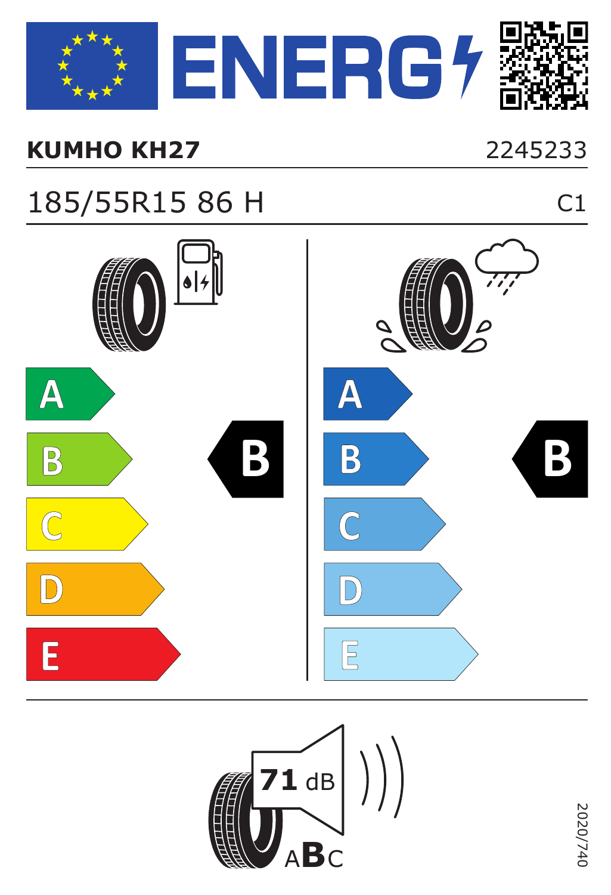

#### **KUMHO KH27** 2245233

2020/740

2020/740

### 185/55R15 86 H C1



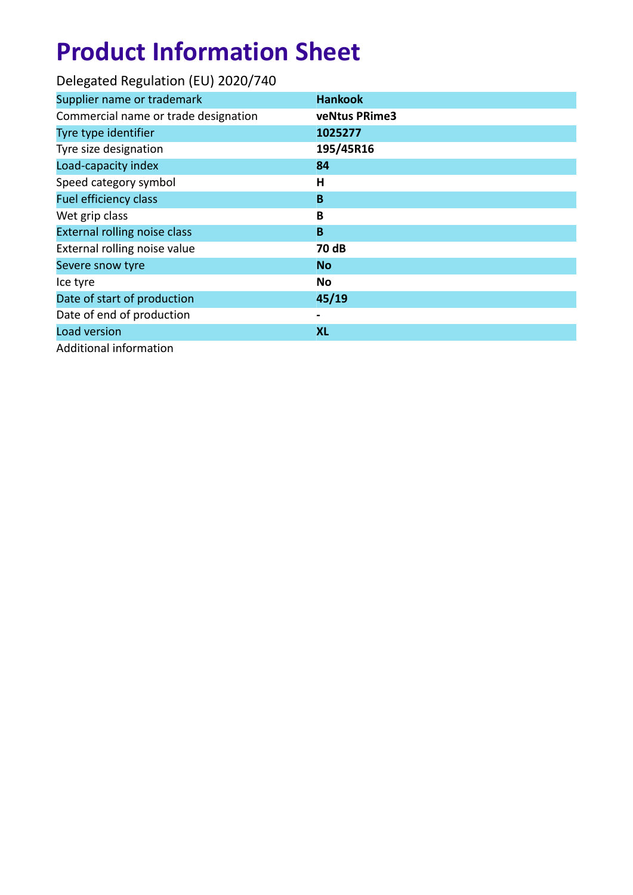| Delegated Regulation (EU) 2020/740   |                |
|--------------------------------------|----------------|
| Supplier name or trademark           | <b>Hankook</b> |
| Commercial name or trade designation | veNtus PRime3  |
| Tyre type identifier                 | 1025277        |
| Tyre size designation                | 195/45R16      |
| Load-capacity index                  | 84             |
| Speed category symbol                | н              |
| <b>Fuel efficiency class</b>         | B              |
| Wet grip class                       | B              |
| External rolling noise class         | B              |
| External rolling noise value         | 70 dB          |
| Severe snow tyre                     | <b>No</b>      |
| Ice tyre                             | No             |
| Date of start of production          | 45/19          |
| Date of end of production            |                |
| Load version                         | <b>XL</b>      |
| Additional information               |                |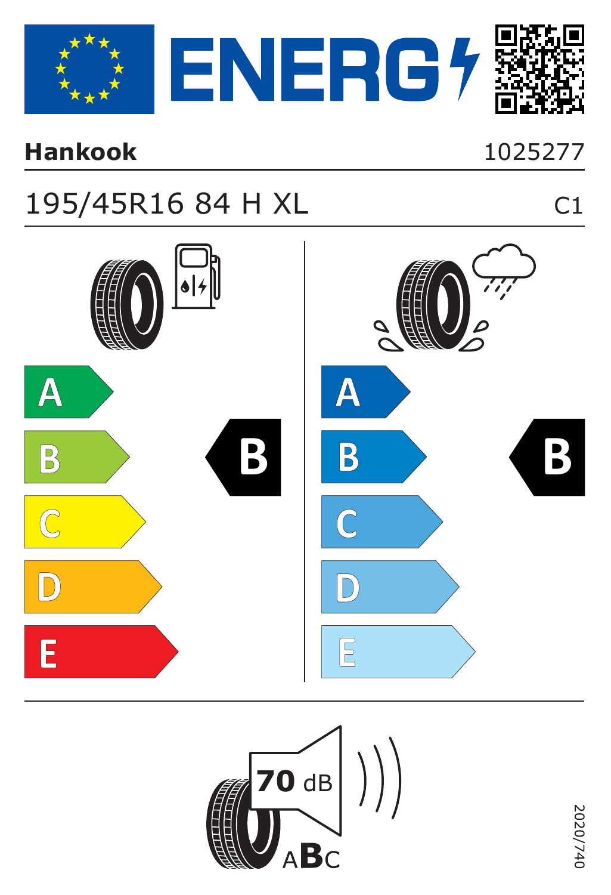

#### **Hankook**

#### $C1$

### 195/45R16 84 H XL



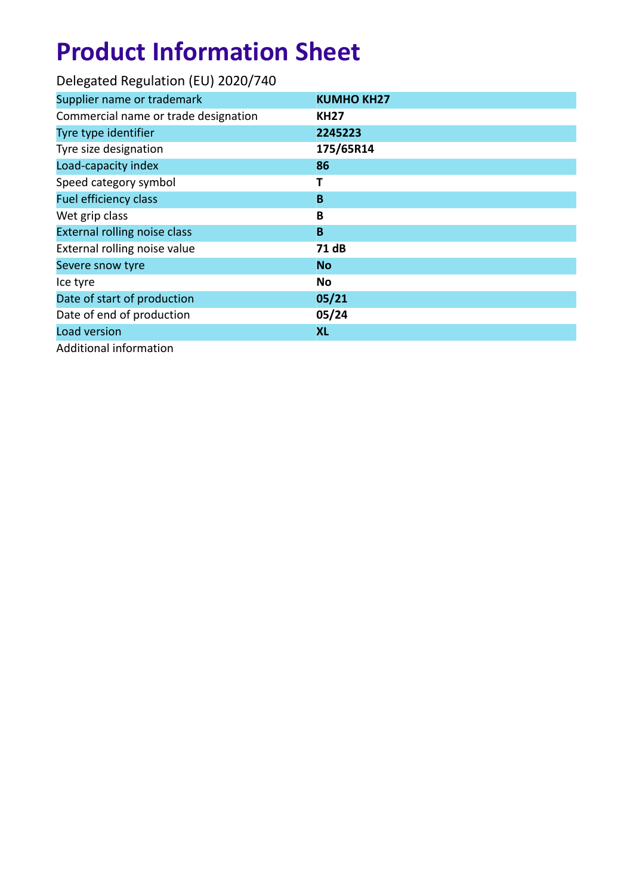| Delegated Regulation (EU) 2020/740   |                   |
|--------------------------------------|-------------------|
| Supplier name or trademark           | <b>KUMHO KH27</b> |
| Commercial name or trade designation | <b>KH27</b>       |
| Tyre type identifier                 | 2245223           |
| Tyre size designation                | 175/65R14         |
| Load-capacity index                  | 86                |
| Speed category symbol                | т                 |
| <b>Fuel efficiency class</b>         | B                 |
| Wet grip class                       | B                 |
| External rolling noise class         | B                 |
| External rolling noise value         | 71 dB             |
| Severe snow tyre                     | <b>No</b>         |
| Ice tyre                             | No                |
| Date of start of production          | 05/21             |
| Date of end of production            | 05/24             |
| Load version                         | <b>XL</b>         |
| Additional information               |                   |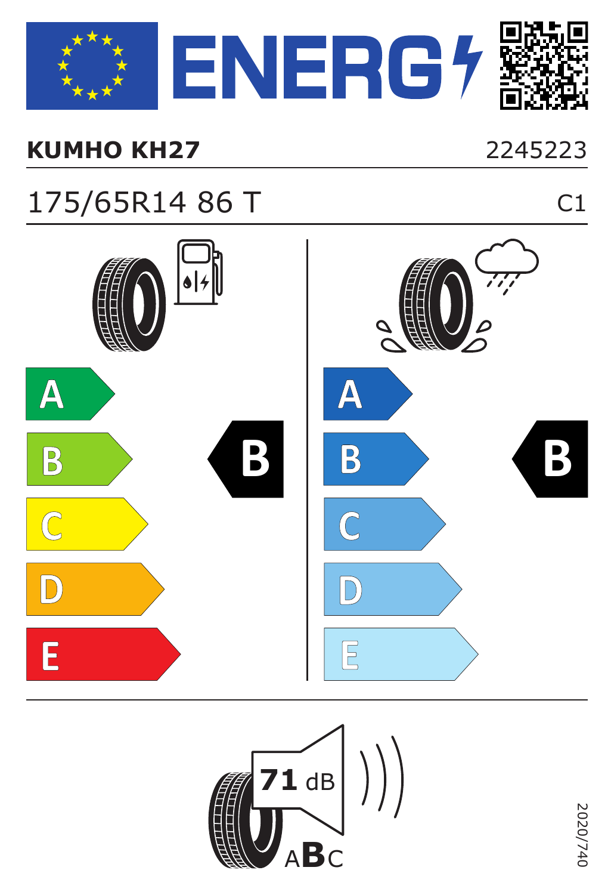

#### **KUMHO KH27** 2245223

### 175/65R14 86 T C1